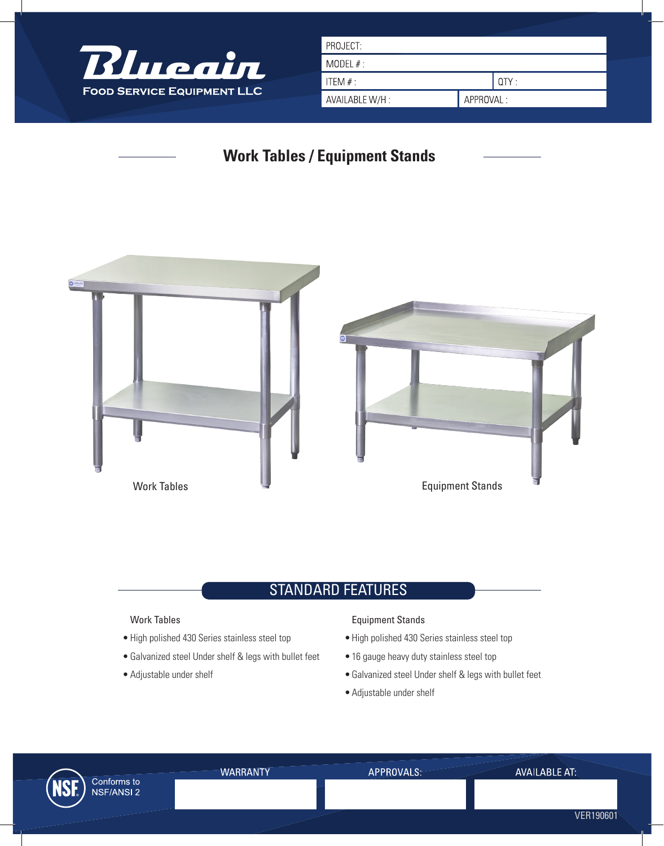

| PROJECT:       |           |       |
|----------------|-----------|-------|
| MODEL $#$ :    |           |       |
| ITEM $#$ :     |           | QTY : |
| AVAILABLE W/H: | APPROVAL: |       |
|                |           |       |

# **Work Tables / Equipment Stands**



## **STANDARD FEATURES**

#### Work Tables

- High polished 430 Series stainless steel top
- Galvanized steel Under shelf & legs with bullet feet •
- Adjustable under shelf •

#### Equipment Stands

- High polished 430 Series stainless steel top
- 16 gauge heavy duty stainless steel top
- Galvanized steel Under shelf & legs with bullet feet •
- Adjustable under shelf •